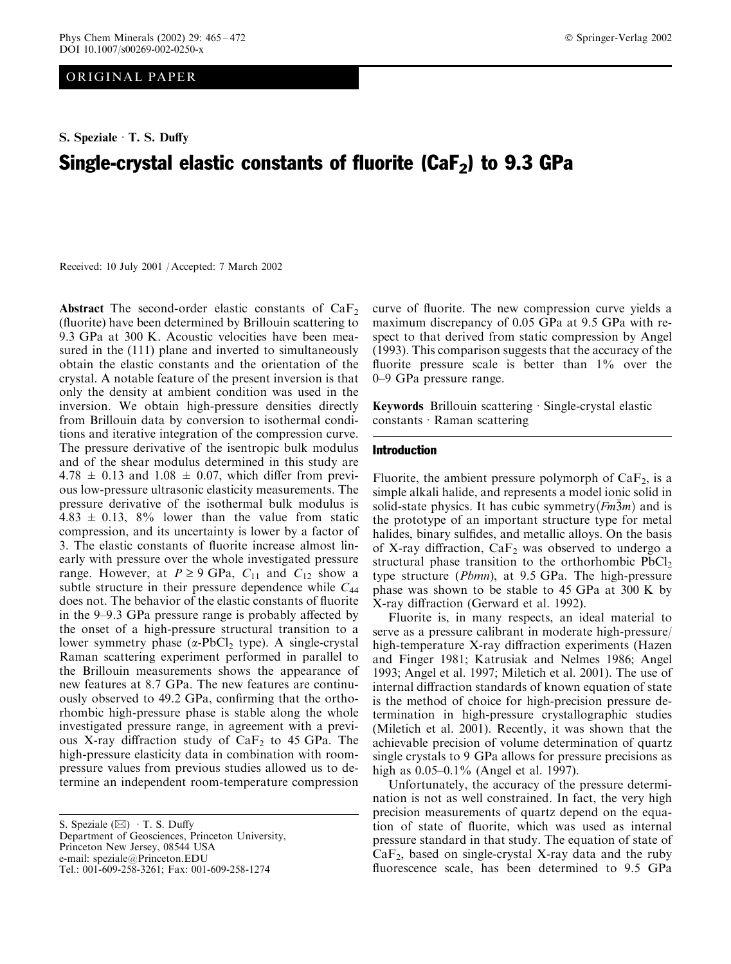ORIGINAL PAPER

S. Speziale  $\cdot$  T. S. Duffy

# Single-crystal elastic constants of fluorite ( $CaF<sub>2</sub>$ ) to 9.3 GPa

Received: 10 July 2001 / Accepted: 7 March 2002

Abstract The second-order elastic constants of  $CaF<sub>2</sub>$ (fluorite) have been determined by Brillouin scattering to 9.3 GPa at 300 K. Acoustic velocities have been measured in the (111) plane and inverted to simultaneously obtain the elastic constants and the orientation of the crystal. A notable feature of the present inversion is that only the density at ambient condition was used in the inversion. We obtain high-pressure densities directly from Brillouin data by conversion to isothermal conditions and iterative integration of the compression curve. The pressure derivative of the isentropic bulk modulus and of the shear modulus determined in this study are  $4.78 \pm 0.13$  and  $1.08 \pm 0.07$ , which differ from previous low-pressure ultrasonic elasticity measurements. The pressure derivative of the isothermal bulk modulus is  $4.83 \pm 0.13$ ,  $8\%$  lower than the value from static compression, and its uncertainty is lower by a factor of 3. The elastic constants of fluorite increase almost linearly with pressure over the whole investigated pressure range. However, at  $P \ge 9$  GPa,  $C_{11}$  and  $C_{12}$  show a subtle structure in their pressure dependence while  $C_{44}$ does not. The behavior of the elastic constants of fluorite in the 9–9.3 GPa pressure range is probably affected by the onset of a high-pressure structural transition to a lower symmetry phase  $(\alpha$ -PbCl<sub>2</sub> type). A single-crystal Raman scattering experiment performed in parallel to the Brillouin measurements shows the appearance of new features at 8.7 GPa. The new features are continuously observed to 49.2 GPa, confirming that the orthorhombic high-pressure phase is stable along the whole investigated pressure range, in agreement with a previous X-ray diffraction study of  $CaF<sub>2</sub>$  to 45 GPa. The high-pressure elasticity data in combination with roompressure values from previous studies allowed us to determine an independent room-temperature compression

S. Speziale  $(\boxtimes)$  T. S. Duffy Department of Geosciences, Princeton University, Princeton New Jersey, 08544 USA e-mail: speziale@Princeton.EDU Tel.: 001-609-258-3261; Fax: 001-609-258-1274

curve of fluorite. The new compression curve yields a maximum discrepancy of 0.05 GPa at 9.5 GPa with respect to that derived from static compression by Angel (1993). This comparison suggests that the accuracy of the fluorite pressure scale is better than  $1\%$  over the 0–9 GPa pressure range.

**Keywords** Brillouin scattering  $\cdot$  Single-crystal elastic  $constants \cdot Raman scattering$ 

#### Introduction

Fluorite, the ambient pressure polymorph of  $CaF<sub>2</sub>$ , is a simple alkali halide, and represents a model ionic solid in solid-state physics. It has cubic symmetry $(Fm3m)$  and is the prototype of an important structure type for metal halides, binary sulfides, and metallic alloys. On the basis of X-ray diffraction,  $CaF<sub>2</sub>$  was observed to undergo a structural phase transition to the orthorhombic  $PbCl<sub>2</sub>$ type structure (Pbmn), at 9.5 GPa. The high-pressure phase was shown to be stable to 45 GPa at 300 K by X-ray diffraction (Gerward et al. 1992).

Fluorite is, in many respects, an ideal material to serve as a pressure calibrant in moderate high-pressure/ high-temperature X-ray diffraction experiments (Hazen and Finger 1981; Katrusiak and Nelmes 1986; Angel 1993; Angel et al. 1997; Miletich et al. 2001). The use of internal diffraction standards of known equation of state is the method of choice for high-precision pressure determination in high-pressure crystallographic studies (Miletich et al. 2001). Recently, it was shown that the achievable precision of volume determination of quartz single crystals to 9 GPa allows for pressure precisions as high as  $0.05-0.1\%$  (Angel et al. 1997).

Unfortunately, the accuracy of the pressure determination is not as well constrained. In fact, the very high precision measurements of quartz depend on the equation of state of fluorite, which was used as internal pressure standard in that study. The equation of state of  $CaF<sub>2</sub>$ , based on single-crystal X-ray data and the ruby fluorescence scale, has been determined to 9.5 GPa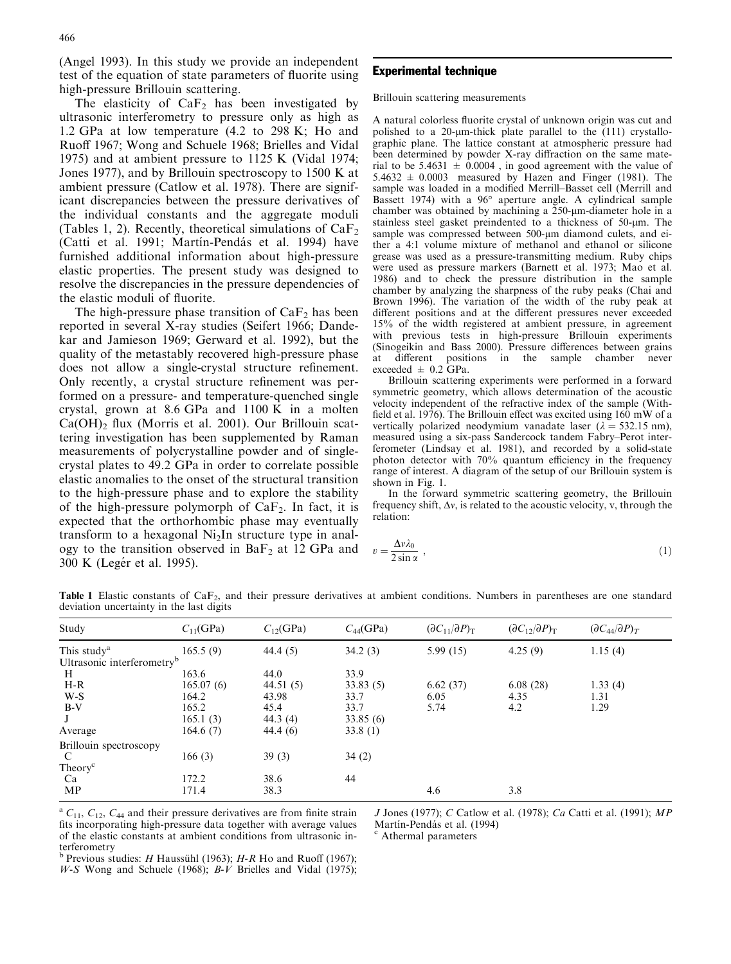(Angel 1993). In this study we provide an independent test of the equation of state parameters of fluorite using high-pressure Brillouin scattering.

The elasticity of  $CaF<sub>2</sub>$  has been investigated by ultrasonic interferometry to pressure only as high as 1.2 GPa at low temperature (4.2 to 298 K; Ho and Ruoff 1967; Wong and Schuele 1968; Brielles and Vidal 1975) and at ambient pressure to 1125 K (Vidal 1974; Jones 1977), and by Brillouin spectroscopy to 1500 K at ambient pressure (Catlow et al. 1978). There are significant discrepancies between the pressure derivatives of the individual constants and the aggregate moduli (Tables 1, 2). Recently, theoretical simulations of  $CaF<sub>2</sub>$ (Catti et al. 1991; Martín-Pendás et al. 1994) have furnished additional information about high-pressure elastic properties. The present study was designed to resolve the discrepancies in the pressure dependencies of the elastic moduli of fluorite.

The high-pressure phase transition of  $CaF<sub>2</sub>$  has been reported in several X-ray studies (Seifert 1966; Dandekar and Jamieson 1969; Gerward et al. 1992), but the quality of the metastably recovered high-pressure phase does not allow a single-crystal structure refinement. Only recently, a crystal structure refinement was performed on a pressure- and temperature-quenched single crystal, grown at 8.6 GPa and 1100 K in a molten  $Ca(OH)$ <sub>2</sub> flux (Morris et al. 2001). Our Brillouin scattering investigation has been supplemented by Raman measurements of polycrystalline powder and of singlecrystal plates to 49.2 GPa in order to correlate possible elastic anomalies to the onset of the structural transition to the high-pressure phase and to explore the stability of the high-pressure polymorph of  $CaF<sub>2</sub>$ . In fact, it is expected that the orthorhombic phase may eventually transform to a hexagonal Ni2In structure type in analogy to the transition observed in  $BaF<sub>2</sub>$  at 12 GPa and 300 K (Legér et al. 1995).

## Experimental technique

Brillouin scattering measurements

A natural colorless fluorite crystal of unknown origin was cut and polished to a 20- $\mu$ m-thick plate parallel to the (111) crystallographic plane. The lattice constant at atmospheric pressure had been determined by powder X-ray diffraction on the same material to be 5.4631  $\pm$  0.0004, in good agreement with the value of  $5.4632 \pm 0.0003$  measured by Hazen and Finger (1981). The sample was loaded in a modified Merrill–Basset cell (Merrill and Bassett 1974) with a 96° aperture angle. A cylindrical sample chamber was obtained by machining a  $250$ - $\mu$ m-diameter hole in a stainless steel gasket preindented to a thickness of 50-um. The sample was compressed between 500-µm diamond culets, and either a 4:1 volume mixture of methanol and ethanol or silicone grease was used as a pressure-transmitting medium. Ruby chips were used as pressure markers (Barnett et al. 1973; Mao et al. 1986) and to check the pressure distribution in the sample chamber by analyzing the sharpness of the ruby peaks (Chai and Brown 1996). The variation of the width of the ruby peak at different positions and at the different pressures never exceeded 15% of the width registered at ambient pressure, in agreement with previous tests in high-pressure Brillouin experiments (Sinogeikin and Bass 2000). Pressure differences between grains at different positions in the sample chamber never exceeded  $\pm$  0.2 GPa.

Brillouin scattering experiments were performed in a forward symmetric geometry, which allows determination of the acoustic velocity independent of the refractive index of the sample (Withfield et al. 1976). The Brillouin effect was excited using  $160 \text{ mW}$  of a vertically polarized neodymium vanadate laser ( $\lambda = 532.15$  nm), measured using a six-pass Sandercock tandem Fabry–Perot interferometer (Lindsay et al. 1981), and recorded by a solid-state photon detector with 70% quantum efficiency in the frequency range of interest. A diagram of the setup of our Brillouin system is shown in Fig. 1.

In the forward symmetric scattering geometry, the Brillouin frequency shift,  $\Delta v$ , is related to the acoustic velocity, v, through the relation:

$$
v = \frac{\Delta v \lambda_0}{2 \sin \alpha} \,,\tag{1}
$$

Table 1 Elastic constants of CaF<sub>2</sub>, and their pressure derivatives at ambient conditions. Numbers in parentheses are one standard deviation uncertainty in the last digits

| Study                                  | $C_{11}$ (GPa) | $C_{12}$ (GPa) | $C_{44}$ (GPa) | $(\partial C_{11}/\partial P)_{\rm T}$ | $(\partial C_{12}/\partial P)_{\rm T}$ | $(\partial C_{44}/\partial P)_T$ |
|----------------------------------------|----------------|----------------|----------------|----------------------------------------|----------------------------------------|----------------------------------|
| This study <sup>a</sup>                | 165.5(9)       | 44.4(5)        | 34.2(3)        | 5.99(15)                               | 4.25(9)                                | 1.15(4)                          |
| Ultrasonic interferometry <sup>b</sup> |                |                |                |                                        |                                        |                                  |
| H                                      | 163.6          | 44.0           | 33.9           |                                        |                                        |                                  |
| $H-R$                                  | 165.07(6)      | 44.51 (5)      | 33.83(5)       | 6.62(37)                               | 6.08(28)                               | 1.33(4)                          |
| $W-S$                                  | 164.2          | 43.98          | 33.7           | 6.05                                   | 4.35                                   | 1.31                             |
| $B-V$                                  | 165.2          | 45.4           | 33.7           | 5.74                                   | 4.2                                    | 1.29                             |
|                                        | 165.1(3)       | 44.3(4)        | 33.85(6)       |                                        |                                        |                                  |
| Average                                | 164.6(7)       | 44.4(6)        | 33.8(1)        |                                        |                                        |                                  |
| Brillouin spectroscopy                 |                |                |                |                                        |                                        |                                  |
| C                                      | 166(3)         | 39(3)          | 34(2)          |                                        |                                        |                                  |
| Theory <sup>c</sup>                    |                |                |                |                                        |                                        |                                  |
| Ca                                     | 172.2          | 38.6           | 44             |                                        |                                        |                                  |
| MP                                     | 171.4          | 38.3           |                | 4.6                                    | 3.8                                    |                                  |

<sup>a</sup>  $C_{11}$ ,  $C_{12}$ ,  $C_{44}$  and their pressure derivatives are from finite strain fits incorporating high-pressure data together with average values of the elastic constants at ambient conditions from ultrasonic interferometry

J Jones (1977); C Catlow et al. (1978); Ca Catti et al. (1991); MP Martín-Pendás et al. (1994)<br>
<sup>c</sup> Athermal parameters

 $<sup>b</sup>$  Previous studies: *H* Haussühl (1963); *H-R* Ho and Ruoff (1967);</sup>  $W-S$  Wong and Schuele (1968);  $B-V$  Brielles and Vidal (1975);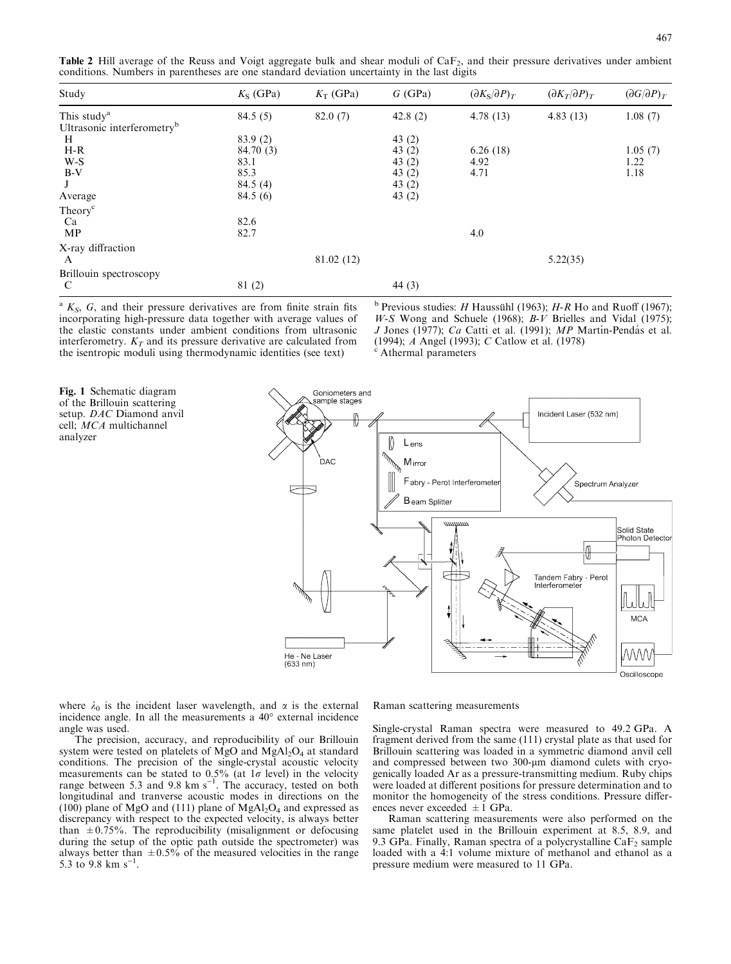**Table 2** Hill average of the Reuss and Voigt aggregate bulk and shear moduli of  $CaF<sub>2</sub>$ , and their pressure derivatives under ambient conditions. Numbers in parentheses are one standard deviation uncertainty in the last digits

| Study                                  | $K_S$ (GPa) | $K_T$ (GPa) | $G$ (GPa) | $(\partial K_S/\partial P)_T$ | $(\partial K_T/\partial P)_T$ | $(\partial G/\partial P)_T$ |
|----------------------------------------|-------------|-------------|-----------|-------------------------------|-------------------------------|-----------------------------|
| This study <sup>a</sup>                | 84.5(5)     | 82.0(7)     | 42.8(2)   | 4.78(13)                      | 4.83(13)                      | 1.08(7)                     |
| Ultrasonic interferometry <sup>b</sup> |             |             |           |                               |                               |                             |
| H                                      | 83.9(2)     |             | 43 $(2)$  |                               |                               |                             |
| $H-R$                                  | 84.70 (3)   |             | 43 $(2)$  | 6.26(18)                      |                               | 1.05(7)                     |
| W-S                                    | 83.1        |             | 43 $(2)$  | 4.92                          |                               | 1.22                        |
| $B-V$                                  | 85.3        |             | 43 $(2)$  | 4.71                          |                               | 1.18                        |
| J                                      | 84.5(4)     |             | 43 $(2)$  |                               |                               |                             |
| Average                                | 84.5(6)     |             | 43 $(2)$  |                               |                               |                             |
| Theory <sup>c</sup>                    |             |             |           |                               |                               |                             |
| Ca                                     | 82.6        |             |           |                               |                               |                             |
| MP                                     | 82.7        |             |           | 4.0                           |                               |                             |
| X-ray diffraction                      |             |             |           |                               |                               |                             |
| A                                      |             | 81.02 (12)  |           |                               | 5.22(35)                      |                             |
| Brillouin spectroscopy                 |             |             |           |                               |                               |                             |
| C                                      | 81(2)       |             | 44 $(3)$  |                               |                               |                             |

 $A K<sub>S</sub>$ , G, and their pressure derivatives are from finite strain fits incorporating high-pressure data together with average values of the elastic constants under ambient conditions from ultrasonic interferometry.  $K_T$  and its pressure derivative are calculated from the isentropic moduli using thermodynamic identities (see text)

<sup>b</sup> Previous studies: *H* Haussühl (1963); *H-R* Ho and Ruoff (1967); W-S Wong and Schuele (1968);  $B-V$  Brielles and Vidal (1975); J Jones (1977); Ca Catti et al. (1991); MP Martín-Pendás et al. (1994);  $A$  Angel (1993); C Catlow et al. (1978)<br>
<sup>c</sup> Athermal parameters

Fig. 1 Schematic diagram of the Brillouin scattering setup. DAC Diamond anvil cell; MCA multichannel analyzer



where  $\lambda_0$  is the incident laser wavelength, and  $\alpha$  is the external incidence angle. In all the measurements a  $40^{\circ}$  external incidence angle was used.

The precision, accuracy, and reproducibility of our Brillouin system were tested on platelets of MgO and MgAl<sub>2</sub>O<sub>4</sub> at standard conditions. The precision of the single-crystal acoustic velocity measurements can be stated to 0.5% (at  $1\sigma$  level) in the velocity range between 5.3 and 9.8  $km s^{-1}$ . The accuracy, tested on both longitudinal and tranverse acoustic modes in directions on the  $(100)$  plane of MgO and  $(111)$  plane of MgAl<sub>2</sub>O<sub>4</sub> and expressed as discrepancy with respect to the expected velocity, is always better than  $\pm 0.75\%$ . The reproducibility (misalignment or defocusing during the setup of the optic path outside the spectrometer) was always better than  $\pm 0.5\%$  of the measured velocities in the range 5.3 to 9.8 km  $s^{-1}$ .

Raman scattering measurements

Single-crystal Raman spectra were measured to 49.2 GPa. A fragment derived from the same (111) crystal plate as that used for Brillouin scattering was loaded in a symmetric diamond anvil cell and compressed between two 300-um diamond culets with cryogenically loaded Ar as a pressure-transmitting medium. Ruby chips were loaded at different positions for pressure determination and to monitor the homogeneity of the stress conditions. Pressure differences never exceeded  $\pm 1$  GPa.

Raman scattering measurements were also performed on the same platelet used in the Brillouin experiment at 8.5, 8.9, and 9.3 GPa. Finally, Raman spectra of a polycrystalline  $CaF<sub>2</sub>$  sample loaded with a 4:1 volume mixture of methanol and ethanol as a pressure medium were measured to 11 GPa.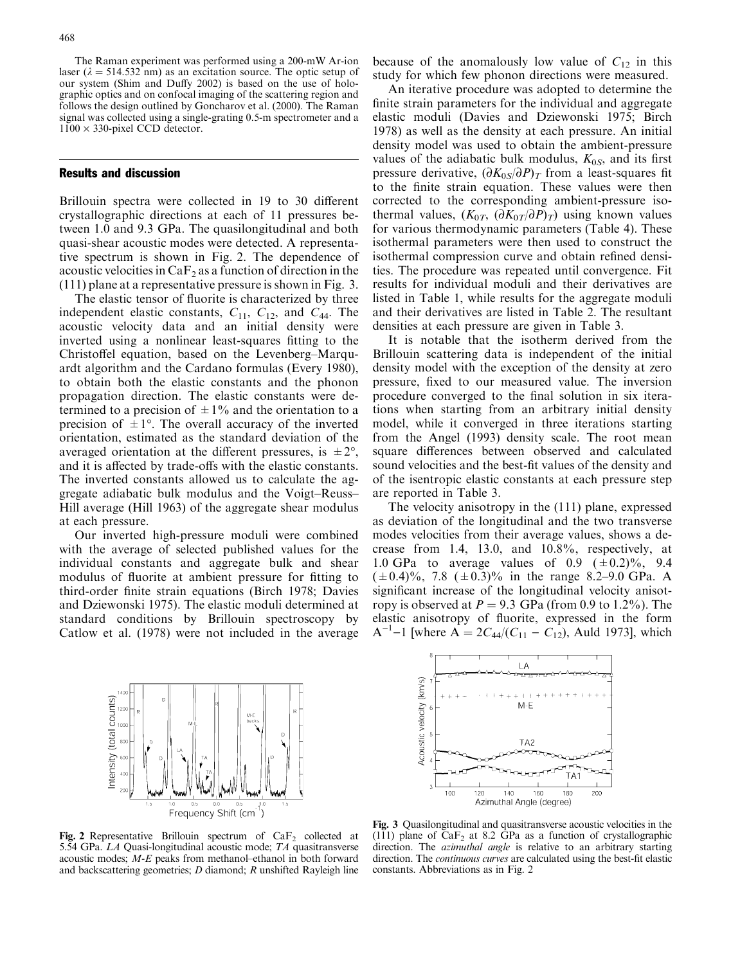The Raman experiment was performed using a 200-mW Ar-ion laser ( $\lambda = 514.532$  nm) as an excitation source. The optic setup of our system (Shim and Duffy 2002) is based on the use of holographic optics and on confocal imaging of the scattering region and follows the design outlined by Goncharov et al. (2000). The Raman signal was collected using a single-grating 0.5-m spectrometer and a  $1100 \times 330$ -pixel CCD detector.

#### Results and discussion

Brillouin spectra were collected in 19 to 30 different crystallographic directions at each of 11 pressures between 1.0 and 9.3 GPa. The quasilongitudinal and both quasi-shear acoustic modes were detected. A representative spectrum is shown in Fig. 2. The dependence of acoustic velocities in  $CaF<sub>2</sub>$  as a function of direction in the (111) plane at a representative pressure is shown in Fig. 3.

The elastic tensor of fluorite is characterized by three independent elastic constants,  $C_{11}$ ,  $C_{12}$ , and  $C_{44}$ . The acoustic velocity data and an initial density were inverted using a nonlinear least-squares fitting to the Christoffel equation, based on the Levenberg–Marquardt algorithm and the Cardano formulas(Every 1980), to obtain both the elastic constants and the phonon propagation direction. The elastic constants were determined to a precision of  $\pm 1\%$  and the orientation to a precision of  $\pm 1^{\circ}$ . The overall accuracy of the inverted orientation, estimated as the standard deviation of the averaged orientation at the different pressures, is  $\pm 2^{\circ}$ , and it is affected by trade-offs with the elastic constants. The inverted constants allowed us to calculate the aggregate adiabatic bulk modulus and the Voigt–Reuss– Hill average (Hill 1963) of the aggregate shear modulus at each pressure.

Our inverted high-pressure moduli were combined with the average of selected published values for the individual constants and aggregate bulk and shear modulus of fluorite at ambient pressure for fitting to third-order finite strain equations (Birch 1978; Davies and Dziewonski 1975). The elastic moduli determined at standard conditions by Brillouin spectroscopy by Catlow et al. (1978) were not included in the average

because of the anomalously low value of  $C_{12}$  in this study for which few phonon directions were measured.

An iterative procedure was adopted to determine the finite strain parameters for the individual and aggregate elastic moduli (Davies and Dziewonski 1975; Birch 1978) as well as the density at each pressure. An initial density model was used to obtain the ambient-pressure values of the adiabatic bulk modulus,  $K_{0S}$ , and its first pressure derivative,  $(\partial K_{0S}/\partial P)_T$  from a least-squares fit to the finite strain equation. These values were then corrected to the corresponding ambient-pressure isothermal values,  $(K_{0T}, (\partial K_{0T}/\partial P)_T)$  using known values for various thermodynamic parameters (Table 4). These isothermal parameters were then used to construct the isothermal compression curve and obtain refined densities. The procedure was repeated until convergence. Fit results for individual moduli and their derivatives are listed in Table 1, while results for the aggregate moduli and their derivatives are listed in Table 2. The resultant densities at each pressure are given in Table 3.

It is notable that the isotherm derived from the Brillouin scattering data is independent of the initial density model with the exception of the density at zero pressure, fixed to our measured value. The inversion procedure converged to the final solution in six iterations when starting from an arbitrary initial density model, while it converged in three iterations starting from the Angel (1993) density scale. The root mean square differences between observed and calculated sound velocities and the best-fit values of the density and of the isentropic elastic constants at each pressure step are reported in Table 3.

The velocity anisotropy in the (111) plane, expressed as deviation of the longitudinal and the two transverse modes velocities from their average values, shows a decrease from 1.4, 13.0, and 10.8%, respectively, at 1.0 GPa to average values of 0.9  $(\pm 0.2)\%$ , 9.4  $(\pm 0.4)\%$ , 7.8  $(\pm 0.3)\%$  in the range 8.2–9.0 GPa. A significant increase of the longitudinal velocity anisotropy is observed at  $P = 9.3$  GPa (from 0.9 to 1.2%). The elastic anisotropy of fluorite, expressed in the form A<sup>-1</sup>-1 [where  $\overrightarrow{A} = 2C_{44}/(C_{11} - C_{12})$ , Auld 1973], which

LA

 $M-E$ 

TA<sub>2</sub>

160

TA<sup>-</sup>

200

180

Acoustic velocity (km/s)

100

120



Fig. 2 Representative Brillouin spectrum of  $CaF<sub>2</sub>$  collected at 5.54 GPa. LA Quasi-longitudinal acoustic mode; TA quasitransverse acoustic modes;  $M-E$  peaks from methanol–ethanol in both forward and backscattering geometries; D diamond; R unshifted Rayleigh line

Fig. 3 Quasilongitudinal and quasitransverse acoustic velocities in the (111) plane of  $CaF<sub>2</sub>$  at 8.2 GPa as a function of crystallographic direction. The *azimuthal angle* is relative to an arbitrary starting direction. The continuous curves are calculated using the best-fit elastic constants. Abbreviations as in Fig. 2

Azimuthal Angle (degree)

140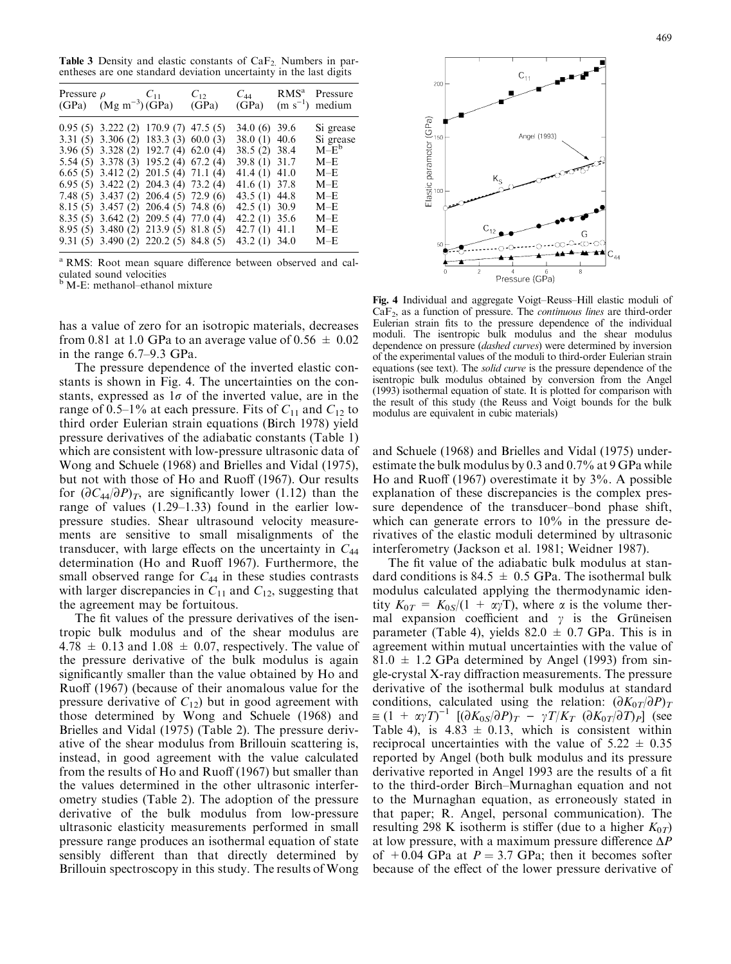Table 3 Density and elastic constants of  $CaF<sub>2</sub>$ . Numbers in parentheses are one standard deviation uncertainty in the last digits

| Pressure $\rho$ $C_{11}$<br>$(GPa)$ $(Mg m^{-3})$ $(GPa)$                                                                                                                                                                                                                                                                                                                                                                                                         | $C_{12}$<br>(GPa) | $C_{44}$<br>(GPa)                                                                                                                                                                             | RMS <sup>a</sup> Pressure<br>$(m s-1)$ medium                                                       |
|-------------------------------------------------------------------------------------------------------------------------------------------------------------------------------------------------------------------------------------------------------------------------------------------------------------------------------------------------------------------------------------------------------------------------------------------------------------------|-------------------|-----------------------------------------------------------------------------------------------------------------------------------------------------------------------------------------------|-----------------------------------------------------------------------------------------------------|
| $0.95(5)$ 3.222 (2) 170.9 (7) 47.5 (5)<br>$3.31(5)$ $3.306(2)$ $183.3(3)$ $60.0(3)$<br>3.96 (5) 3.328 (2) 192.7 (4) 62.0 (4)<br>5.54 (5) 3.378 (3) 195.2 (4) 67.2 (4)<br>$6.65(5)$ 3.412(2) 201.5(4) 71.1(4)<br>$6.95(5)$ 3.422(2) 204.3(4) 73.2(4)<br>7.48 (5) 3.437 (2) 206.4 (5) 72.9 (6)<br>$8.15(5)$ 3.457 (2) 206.4 (5) 74.8 (6)<br>8.35 (5) 3.642 (2) 209.5 (4) 77.0 (4)<br>8.95 (5) 3.480 (2) 213.9 (5) 81.8 (5)<br>9.31 (5) 3.490 (2) 220.2 (5) 84.8 (5) |                   | 34.0 (6) 39.6<br>38.0 (1) 40.6<br>38.5 (2) 38.4<br>39.8 (1) 31.7<br>41.4 $(1)$ 41.0<br>41.6 (1) 37.8<br>43.5 (1) 44.8<br>42.5 $(1)$ 30.9<br>42.2 (1) 35.6<br>42.7 $(1)$ 41.1<br>43.2 (1) 34.0 | Si grease<br>Si grease<br>$M-E^b$<br>M–E<br>$M-F$<br>M–E<br>$M-F$<br>$M-F$<br>M–E<br>$M-F$<br>$M-F$ |

<sup>a</sup> RMS: Root mean square difference between observed and calculated sound velocities <sup>b</sup> M-E: methanol–ethanol mixture

has a value of zero for an isotropic materials, decreases from 0.81 at 1.0 GPa to an average value of  $0.56 \pm 0.02$ in the range 6.7–9.3 GPa.

The pressure dependence of the inverted elastic constants is shown in Fig. 4. The uncertainties on the constants, expressed as  $1\sigma$  of the inverted value, are in the range of 0.5–1% at each pressure. Fits of  $C_{11}$  and  $C_{12}$  to third order Eulerian strain equations (Birch 1978) yield pressure derivatives of the adiabatic constants (Table 1) which are consistent with low-pressure ultrasonic data of Wong and Schuele (1968) and Brielles and Vidal (1975), but not with those of Ho and Ruoff (1967). Our results for  $(\partial C_{44}/\partial P)_T$ , are significantly lower (1.12) than the range of values  $(1.29-1.33)$  found in the earlier lowpressure studies. Shear ultrasound velocity measurements are sensitive to small misalignments of the transducer, with large effects on the uncertainty in  $C_{44}$ determination (Ho and Ruoff 1967). Furthermore, the small observed range for  $C_{44}$  in these studies contrasts with larger discrepancies in  $C_{11}$  and  $C_{12}$ , suggesting that the agreement may be fortuitous.

The fit values of the pressure derivatives of the isentropic bulk modulus and of the shear modulus are  $4.78 \pm 0.13$  and  $1.08 \pm 0.07$ , respectively. The value of the pressure derivative of the bulk modulus is again significantly smaller than the value obtained by Ho and Ruoff (1967) (because of their anomalous value for the pressure derivative of  $C_{12}$ ) but in good agreement with those determined by Wong and Schuele (1968) and Brielles and Vidal (1975) (Table 2). The pressure derivative of the shear modulus from Brillouin scattering is, instead, in good agreement with the value calculated from the results of Ho and Ruoff (1967) but smaller than the values determined in the other ultrasonic interferometry studies (Table 2). The adoption of the pressure derivative of the bulk modulus from low-pressure ultrasonic elasticity measurements performed in small pressure range produces an isothermal equation of state sensibly different than that directly determined by Brillouin spectroscopy in this study. The results of Wong



Fig. 4 Individual and aggregate Voigt–Reuss–Hill elastic moduli of  $CaF<sub>2</sub>$ , as a function of pressure. The *continuous lines* are third-order Eulerian strain fits to the pressure dependence of the individual moduli. The isentropic bulk modulus and the shear modulus dependence on pressure (dashed curves) were determined by inversion of the experimental values of the moduli to third-order Eulerian strain equations (see text). The *solid curve* is the pressure dependence of the isentropic bulk modulus obtained by conversion from the Angel (1993) isothermal equation of state. It is plotted for comparison with the result of this study (the Reuss and Voigt bounds for the bulk modulus are equivalent in cubic materials)

and Schuele (1968) and Brielles and Vidal (1975) underestimate the bulk modulus by 0.3 and 0.7% at 9 GPa while Ho and Ruoff (1967) overestimate it by 3%. A possible explanation of these discrepancies is the complex pressure dependence of the transducer–bond phase shift, which can generate errors to 10% in the pressure derivatives of the elastic moduli determined by ultrasonic interferometry (Jackson et al. 1981; Weidner 1987).

The fit value of the adiabatic bulk modulus at standard conditions is 84.5  $\pm$  0.5 GPa. The isothermal bulk modulus calculated applying the thermodynamic identity  $K_{0T} = K_{0S}/(1 + \alpha \gamma T)$ , where  $\alpha$  is the volume thermal expansion coefficient and  $\gamma$  is the Grüneisen parameter (Table 4), yields  $82.0 \pm 0.7$  GPa. This is in agreement within mutual uncertainties with the value of  $81.0 \pm 1.2$  GPa determined by Angel (1993) from single-crystal X-ray diffraction measurements. The pressure derivative of the isothermal bulk modulus at standard conditions, calculated using the relation:  $(\partial K_{0T}/\partial P)_T$  $\cong$   $(1 + \alpha \gamma T)^{-1}$   $[(\partial K_{0S}/\partial P)_T - \gamma T/K_T$   $(\partial K_{0T}/\partial T)_P]$  (see Table 4), is  $4.83 \pm 0.13$ , which is consistent within reciprocal uncertainties with the value of  $5.22 \pm 0.35$ reported by Angel (both bulk modulus and its pressure derivative reported in Angel 1993 are the results of a fit to the third-order Birch–Murnaghan equation and not to the Murnaghan equation, as erroneously stated in that paper; R. Angel, personal communication). The resulting 298 K isotherm is stiffer (due to a higher  $K_{0T}$ ) at low pressure, with a maximum pressure difference  $\Delta P$ of  $+0.04$  GPa at  $P = 3.7$  GPa; then it becomes softer because of the effect of the lower pressure derivative of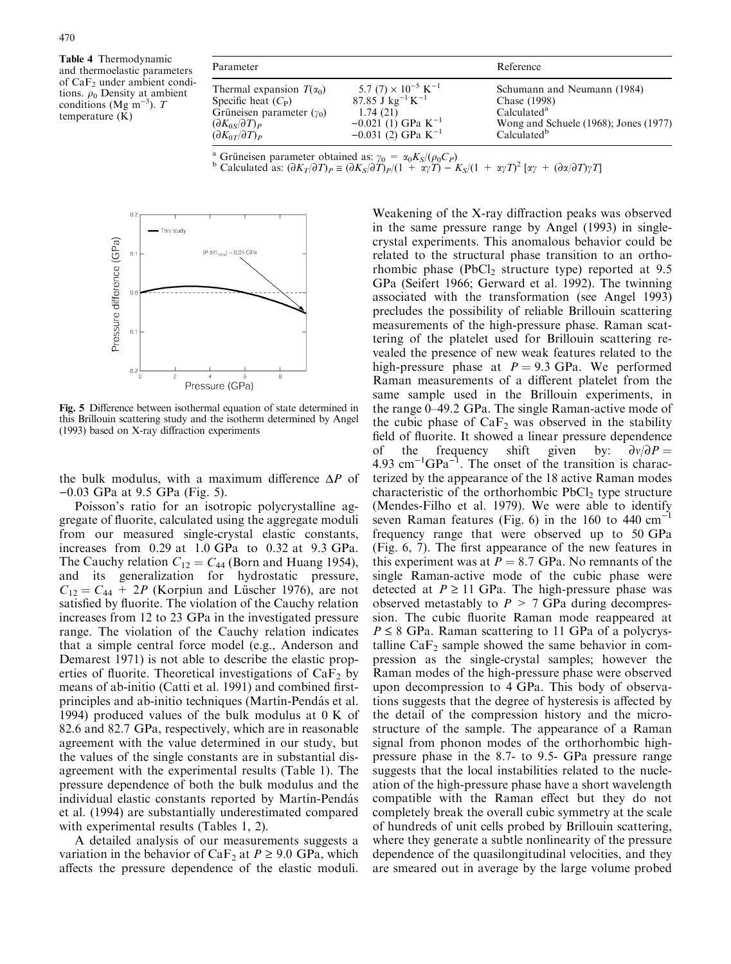Table 4 Thermodynamic and thermoelastic parameters of  $CaF<sub>2</sub>$  under ambient conditions.  $\rho_0$  Density at ambient conditions (Mg m<sup>-3</sup>). T temperature (K)

| Parameter                                                                                                                                                            |                                                                                                                                                                       | Reference                                                                                                                                  |
|----------------------------------------------------------------------------------------------------------------------------------------------------------------------|-----------------------------------------------------------------------------------------------------------------------------------------------------------------------|--------------------------------------------------------------------------------------------------------------------------------------------|
| Thermal expansion $T(\alpha_0)$<br>Specific heat $(C_P)$<br>Grüneisen parameter $(\gamma_0)$<br>$(\partial K_{0S}/\partial T)_P$<br>$(\partial K_{0T}/\partial T)_P$ | 5.7 (7) $\times 10^{-5}$ K <sup>-1</sup><br>87.85 J kg <sup>-1</sup> K <sup>-1</sup><br>1.74(21)<br>$-0.021(1)$ GPa K <sup>-1</sup><br>-0.031 (2) GPa K <sup>-1</sup> | Schumann and Neumann (1984)<br>Chase (1998)<br>Calculated <sup>a</sup><br>Wong and Schuele (1968); Jones (1977)<br>Calculated <sup>b</sup> |

<sup>a</sup> Grüneisen parameter obtained as: 
$$
\gamma_0 = \alpha_0 K_S / (\rho_0 C_P)
$$
  
<sup>b</sup> Calculated as:  $(\partial K_T / \partial T)_P \cong (\partial K_S / \partial T)_P / (1 + \alpha \gamma T) - K_S / (1 + \alpha \gamma T)^2 [\alpha \gamma + (\partial \alpha / \partial T) \gamma T]$ 



Fig. 5 Difference between isothermal equation of state determined in this Brillouin scattering study and the isotherm determined by Angel (1993) based on X-ray diffraction experiments

the bulk modulus, with a maximum difference  $\Delta P$  of  $-0.03$  GPa at 9.5 GPa (Fig. 5).

Poisson's ratio for an isotropic polycrystalline aggregate of fluorite, calculated using the aggregate moduli from our measured single-crystal elastic constants, increases from 0.29 at 1.0 GPa to 0.32 at 9.3 GPa. The Cauchy relation  $C_{12} = C_{44}$  (Born and Huang 1954), and its generalization for hydrostatic pressure,  $C_{12} = C_{44} + 2P$  (Korpiun and Lüscher 1976), are not satisfied by fluorite. The violation of the Cauchy relation increases from 12 to 23 GPa in the investigated pressure range. The violation of the Cauchy relation indicates that a simple central force model (e.g., Anderson and Demarest 1971) is not able to describe the elastic properties of fluorite. Theoretical investigations of  $CaF<sub>2</sub>$  by means of ab-initio (Catti et al. 1991) and combined firstprinciples and ab-initio techniques (Martín-Pendás et al. 1994) produced values of the bulk modulus at  $0 K$  of 82.6 and 82.7 GPa, respectively, which are in reasonable agreement with the value determined in our study, but the values of the single constants are in substantial disagreement with the experimental results (Table 1). The pressure dependence of both the bulk modulus and the individual elastic constants reported by Martín-Pendás et al. (1994) are substantially underestimated compared with experimental results (Tables 1, 2).

A detailed analysis of our measurements suggests a variation in the behavior of CaF<sub>2</sub> at  $P \ge 9.0$  GPa, which affects the pressure dependence of the elastic moduli.

Weakening of the X-ray diffraction peaks was observed in the same pressure range by Angel (1993) in singlecrystal experiments. This anomalous behavior could be related to the structural phase transition to an orthorhombic phase (PbCl<sub>2</sub> structure type) reported at  $9.5$ GPa (Seifert 1966; Gerward et al. 1992). The twinning associated with the transformation (see Angel 1993) precludes the possibility of reliable Brillouin scattering measurements of the high-pressure phase. Raman scattering of the platelet used for Brillouin scattering revealed the presence of new weak features related to the high-pressure phase at  $P = 9.3$  GPa. We performed Raman measurements of a different platelet from the same sample used in the Brillouin experiments, in the range 0–49.2 GPa. The single Raman-active mode of the cubic phase of  $CaF<sub>2</sub>$  was observed in the stability field of fluorite. It showed a linear pressure dependence of the frequency shift given by:  $\partial v / \partial P =$  $4.93 \text{ cm}^{-1} \text{GPa}^{-1}$ . The onset of the transition is characterized by the appearance of the 18 active Raman modes characteristic of the orthorhombic  $PbCl<sub>2</sub>$  type structure (Mendes-Filho et al. 1979). We were able to identify seven Raman features (Fig. 6) in the 160 to 440  $cm^{-1}$ frequency range that were observed up to 50 GPa (Fig. 6, 7). The first appearance of the new features in this experiment was at  $P = 8.7$  GPa. No remnants of the single Raman-active mode of the cubic phase were detected at  $P \ge 11$  GPa. The high-pressure phase was observed metastably to  $P > 7$  GPa during decompression. The cubic fluorite Raman mode reappeared at  $P \leq 8$  GPa. Raman scattering to 11 GPa of a polycrystalline  $CaF<sub>2</sub>$  sample showed the same behavior in compression as the single-crystal samples; however the Raman modes of the high-pressure phase were observed upon decompression to 4 GPa. This body of observations suggests that the degree of hysteresis is affected by the detail of the compression history and the microstructure of the sample. The appearance of a Raman signal from phonon modes of the orthorhombic highpressure phase in the 8.7- to 9.5- GPa pressure range suggests that the local instabilities related to the nucleation of the high-pressure phase have a short wavelength compatible with the Raman effect but they do not completely break the overall cubic symmetry at the scale of hundreds of unit cells probed by Brillouin scattering, where they generate a subtle nonlinearity of the pressure dependence of the quasilongitudinal velocities, and they are smeared out in average by the large volume probed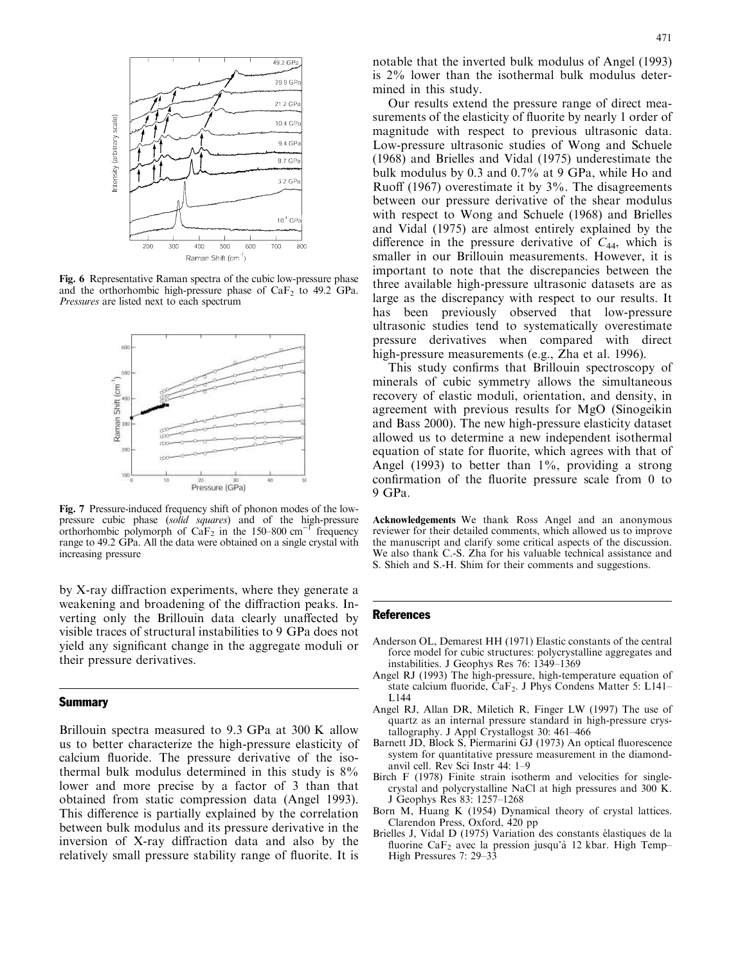

Fig. 6 Representative Raman spectra of the cubic low-pressure phase and the orthorhombic high-pressure phase of  $CaF<sub>2</sub>$  to 49.2 GPa. Pressures are listed next to each spectrum



Fig. 7 Pressure-induced frequency shift of phonon modes of the lowpressure cubic phase (solid squares) and of the high-pressure orthorhombic polymorph of  $CaF_2$  in the 150–800 cm<sup>-1</sup> frequency range to 49.2 GPa. All the data were obtained on a single crystal with increasing pressure

by X-ray diffraction experiments, where they generate a weakening and broadening of the diffraction peaks. Inverting only the Brillouin data clearly unaffected by visible traces of structural instabilities to 9 GPa does not yield any significant change in the aggregate moduli or their pressure derivatives.

### **Summary**

Brillouin spectra measured to 9.3 GPa at 300 K allow us to better characterize the high-pressure elasticity of calcium fluoride. The pressure derivative of the isothermal bulk modulus determined in this study is  $8\%$ lower and more precise by a factor of 3 than that obtained from static compression data (Angel 1993). This difference is partially explained by the correlation between bulk modulus and its pressure derivative in the inversion of X-ray diffraction data and also by the relatively small pressure stability range of fluorite. It is

Our results extend the pressure range of direct measurements of the elasticity of fluorite by nearly 1 order of magnitude with respect to previous ultrasonic data. Low-pressure ultrasonic studies of Wong and Schuele  $(1968)$  and Brielles and Vidal  $(1975)$  underestimate the bulk modulusby 0.3 and 0.7% at 9 GPa, while Ho and Ruoff (1967) overestimate it by 3%. The disagreements between our pressure derivative of the shear modulus with respect to Wong and Schuele (1968) and Brielles and Vidal (1975) are almost entirely explained by the difference in the pressure derivative of  $C_{44}$ , which is smaller in our Brillouin measurements. However, it is important to note that the discrepancies between the three available high-pressure ultrasonic datasets are as large as the discrepancy with respect to our results. It has been previously observed that low-pressure ultrasonic studies tend to systematically overestimate pressure derivatives when compared with direct high-pressure measurements (e.g., Zha et al. 1996).

This study confirms that Brillouin spectroscopy of minerals of cubic symmetry allows the simultaneous recovery of elastic moduli, orientation, and density, in agreement with previous results for MgO (Sinogeikin and Bass 2000). The new high-pressure elasticity dataset allowed us to determine a new independent isothermal equation of state for fluorite, which agrees with that of Angel (1993) to better than  $1\%$ , providing a strong confirmation of the fluorite pressure scale from 0 to 9 GPa.

Acknowledgements We thank Ross Angel and an anonymous reviewer for their detailed comments, which allowed us to improve the manuscript and clarify some critical aspects of the discussion. We also thank C.-S. Zha for his valuable technical assistance and S. Shieh and S.-H. Shim for their comments and suggestions.

#### **References**

- Anderson OL, Demarest HH (1971) Elastic constants of the central force model for cubic structures: polycrystalline aggregates and instabilities. J Geophys Res 76: 1349–1369
- Angel RJ (1993) The high-pressure, high-temperature equation of state calcium fluoride, CaF<sub>2</sub>. J Phys Condens Matter 5: L141-L144
- Angel RJ, Allan DR, Miletich R, Finger LW (1997) The use of quartz as an internal pressure standard in high-pressure crystallography. J Appl Crystallogst 30: 461–466
- Barnett JD, Block S, Piermarini GJ (1973) An optical fluorescence system for quantitative pressure measurement in the diamondanvil cell. Rev Sci Instr 44: 1–9
- Birch F (1978) Finite strain isotherm and velocities for singlecrystal and polycrystalline NaCl at high pressures and 300 K. J Geophys Res 83: 1257–1268
- Born M, Huang K (1954) Dynamical theory of crystal lattices. Clarendon Press, Oxford, 420 pp
- Brielles J, Vidal D (1975) Variation des constants élastiques de la fluorine CaF<sub>2</sub> avec la pression jusqu'à 12 kbar. High Temp– High Pressures 7: 29–33